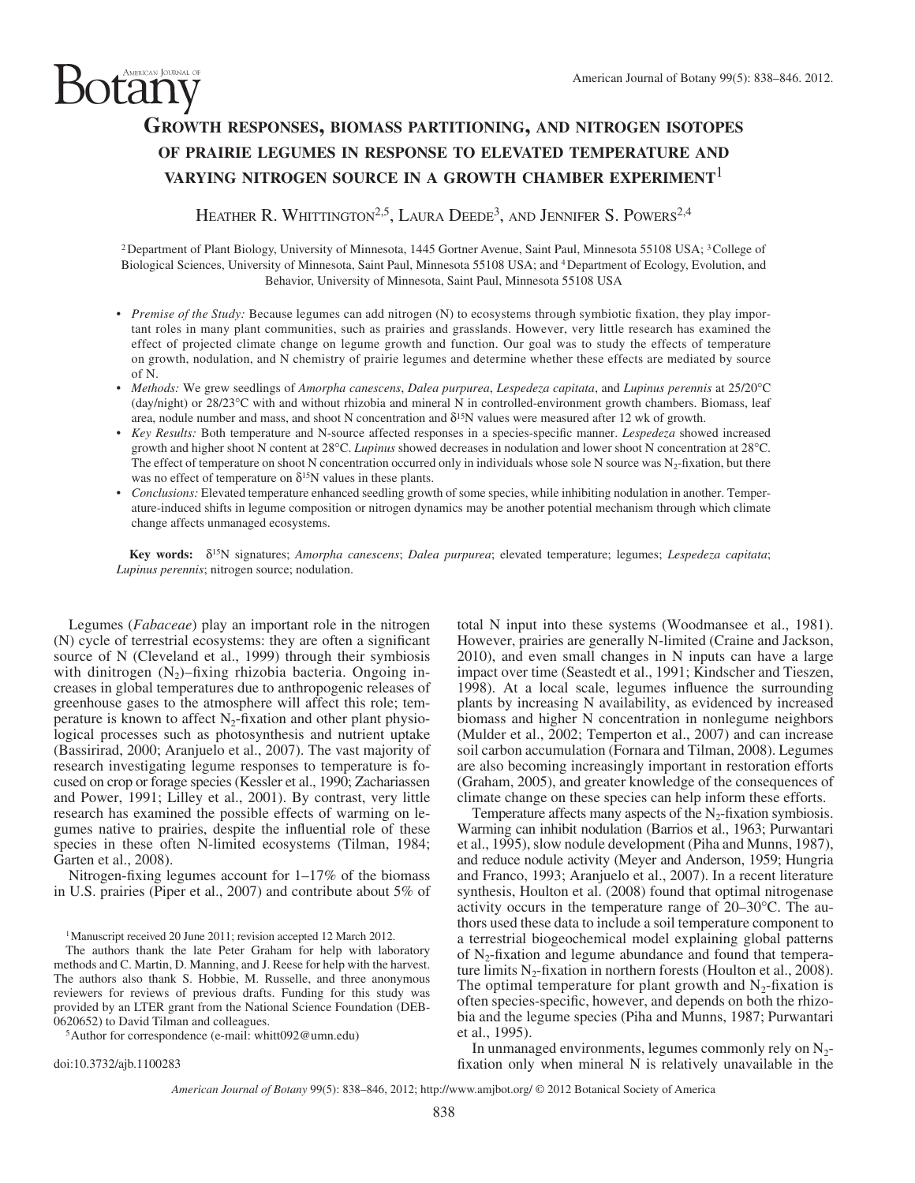# **GROWTH RESPONSES, BIOMASS PARTITIONING, AND NITROGEN ISOTOPES OF PRAIRIE LEGUMES IN RESPONSE TO ELEVATED TEMPERATURE AND VARYING NITROGEN SOURCE IN A GROWTH CHAMBER EXPERIMENT**<sup>1</sup>

HEATHER R. WHITTINGTON<sup>2,5</sup>, LAURA DEEDE<sup>3</sup>, AND JENNIFER S. POWERS<sup>2,4</sup>

<sup>2</sup> Department of Plant Biology, University of Minnesota, 1445 Gortner Avenue, Saint Paul, Minnesota 55108 USA; <sup>3</sup> College of Biological Sciences, University of Minnesota, Saint Paul, Minnesota 55108 USA; and 4 Department of Ecology, Evolution, and Behavior, University of Minnesota, Saint Paul, Minnesota 55108 USA

- *Premise of the Study:* Because legumes can add nitrogen (N) to ecosystems through symbiotic fixation, they play important roles in many plant communities, such as prairies and grasslands. However, very little research has examined the effect of projected climate change on legume growth and function. Our goal was to study the effects of temperature on growth, nodulation, and N chemistry of prairie legumes and determine whether these effects are mediated by source of N.
- *Methods:* We grew seedlings of *Amorpha canescens* , *Dalea purpurea* , *Lespedeza capitata* , and *Lupinus perennis* at 25/20 ° C (day/night) or 28/23°C with and without rhizobia and mineral N in controlled-environment growth chambers. Biomass, leaf area, nodule number and mass, and shoot N concentration and  $\delta^{15}N$  values were measured after 12 wk of growth.
- *Key Results:* Both temperature and N-source affected responses in a species-specific manner. *Lespedeza* showed increased growth and higher shoot N content at 28°C. *Lupinus* showed decreases in nodulation and lower shoot N concentration at 28°C. The effect of temperature on shoot N concentration occurred only in individuals whose sole N source was  $N_2$ -fixation, but there was no effect of temperature on  $\delta^{15}N$  values in these plants.
- *Conclusions:* Elevated temperature enhanced seedling growth of some species, while inhibiting nodulation in another. Temperature-induced shifts in legume composition or nitrogen dynamics may be another potential mechanism through which climate change affects unmanaged ecosystems.

Key words:  $\delta^{15}$ N signatures; *Amorpha canescens*; *Dalea purpurea*; elevated temperature; legumes; *Lespedeza capitata*; *Lupinus perennis*; nitrogen source; nodulation.

Legumes (*Fabaceae*) play an important role in the nitrogen  $(N)$  cycle of terrestrial ecosystems: they are often a significant source of N (Cleveland et al., 1999) through their symbiosis with dinitrogen  $(N_2)$ -fixing rhizobia bacteria. Ongoing increases in global temperatures due to anthropogenic releases of greenhouse gases to the atmosphere will affect this role; temperature is known to affect  $N_2$ -fixation and other plant physiological processes such as photosynthesis and nutrient uptake (Bassirirad, 2000; Aranjuelo et al., 2007). The vast majority of research investigating legume responses to temperature is focused on crop or forage species (Kessler et al., 1990; Zachariassen and Power, 1991; Lilley et al., 2001). By contrast, very little research has examined the possible effects of warming on legumes native to prairies, despite the influential role of these species in these often N-limited ecosystems (Tilman, 1984; Garten et al., 2008).

otany

Nitrogen-fixing legumes account for  $1-17\%$  of the biomass in U.S. prairies (Piper et al., 2007) and contribute about 5% of

<sup>1</sup> Manuscript received 20 June 2011; revision accepted 12 March 2012.

 The authors thank the late Peter Graham for help with laboratory methods and C. Martin, D. Manning, and J. Reese for help with the harvest. The authors also thank S. Hobbie, M. Russelle, and three anonymous reviewers for reviews of previous drafts. Funding for this study was provided by an LTER grant from the National Science Foundation (DEB-0620652) to David Tilman and colleagues.

<sup>5</sup>Author for correspondence (e-mail: whitt092@umn.edu)

doi:10.3732/ajb.1100283

total N input into these systems (Woodmansee et al., 1981). However, prairies are generally N-limited (Craine and Jackson, 2010), and even small changes in N inputs can have a large impact over time (Seastedt et al., 1991; Kindscher and Tieszen, 1998). At a local scale, legumes influence the surrounding plants by increasing N availability, as evidenced by increased biomass and higher N concentration in nonlegume neighbors (Mulder et al., 2002; Temperton et al., 2007) and can increase soil carbon accumulation (Fornara and Tilman, 2008). Legumes are also becoming increasingly important in restoration efforts (Graham, 2005), and greater knowledge of the consequences of climate change on these species can help inform these efforts.

Temperature affects many aspects of the  $N<sub>2</sub>$ -fixation symbiosis. Warming can inhibit nodulation (Barrios et al., 1963; Purwantari et al., 1995), slow nodule development (Piha and Munns, 1987), and reduce nodule activity (Meyer and Anderson, 1959; Hungria and Franco, 1993; Aranjuelo et al., 2007). In a recent literature synthesis, Houlton et al. (2008) found that optimal nitrogenase activity occurs in the temperature range of  $20-30^{\circ}$ C. The authors used these data to include a soil temperature component to a terrestrial biogeochemical model explaining global patterns of  $N_2$ -fixation and legume abundance and found that temperature limits  $N_2$ -fixation in northern forests (Houlton et al., 2008). The optimal temperature for plant growth and  $N_2$ -fixation is often species-specific, however, and depends on both the rhizobia and the legume species (Piha and Munns, 1987; Purwantari et al., 1995).

In unmanaged environments, legumes commonly rely on  $N_{2}$ fixation only when mineral N is relatively unavailable in the

*American Journal of Botany* 99(5): 838–846, 2012; http://www.amjbot.org/ © 2012 Botanical Society of America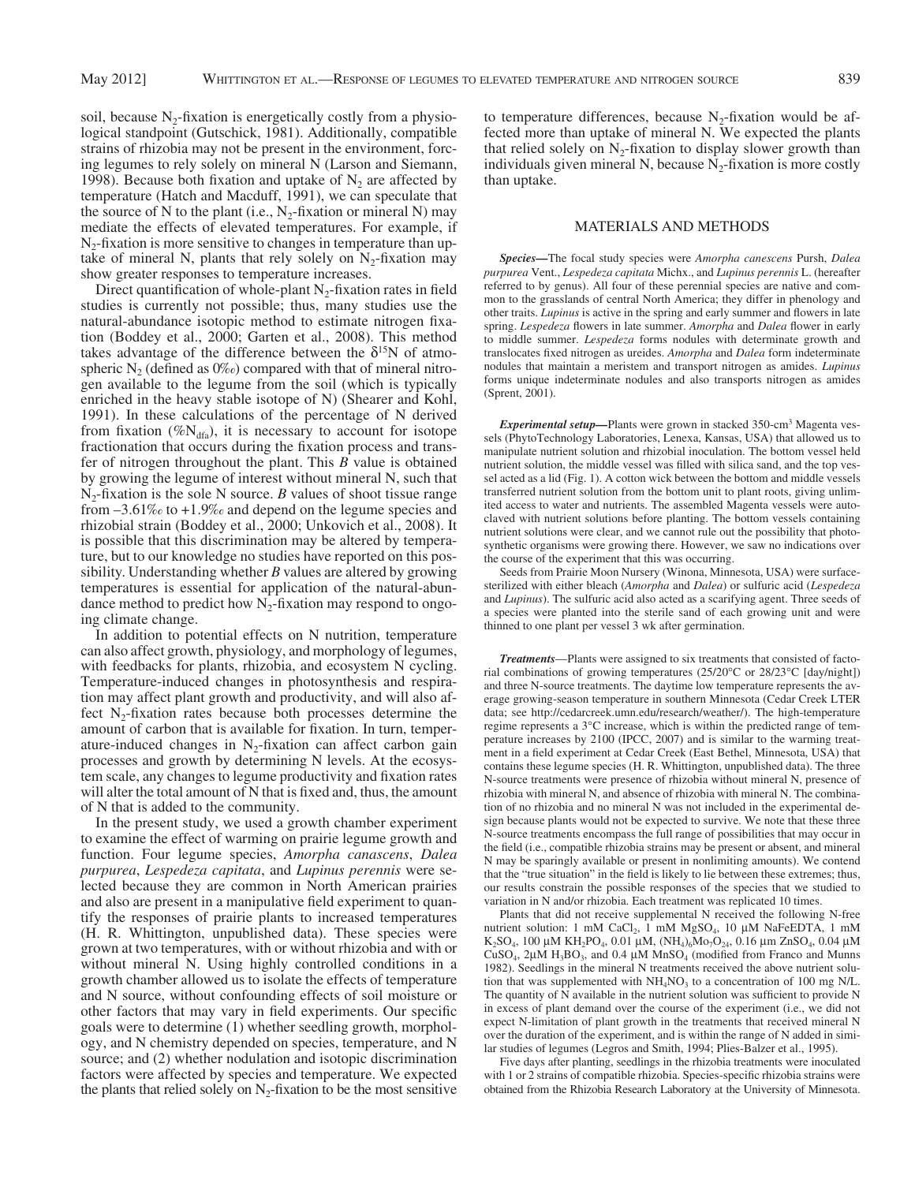soil, because  $N_2$ -fixation is energetically costly from a physiological standpoint (Gutschick, 1981). Additionally, compatible strains of rhizobia may not be present in the environment, forcing legumes to rely solely on mineral N (Larson and Siemann, 1998). Because both fixation and uptake of  $N_2$  are affected by temperature (Hatch and Macduff, 1991), we can speculate that the source of N to the plant (i.e.,  $N_2$ -fixation or mineral N) may mediate the effects of elevated temperatures. For example, if  $N<sub>2</sub>$ -fixation is more sensitive to changes in temperature than uptake of mineral N, plants that rely solely on  $N_2$ -fixation may show greater responses to temperature increases.

Direct quantification of whole-plant  $N<sub>2</sub>$ -fixation rates in field studies is currently not possible; thus, many studies use the natural-abundance isotopic method to estimate nitrogen fixation (Boddey et al., 2000; Garten et al., 2008). This method takes advantage of the difference between the  $\delta^{15}N$  of atmospheric  $N_2$  (defined as 0% $\omega$ ) compared with that of mineral nitrogen available to the legume from the soil (which is typically enriched in the heavy stable isotope of N) (Shearer and Kohl, 1991). In these calculations of the percentage of N derived from fixation (% $N_{dfa}$ ), it is necessary to account for isotope fractionation that occurs during the fixation process and transfer of nitrogen throughout the plant. This *B* value is obtained by growing the legume of interest without mineral N, such that  $N_2$ -fixation is the sole N source. *B* values of shoot tissue range from  $-3.61\%$  to  $+1.9\%$  and depend on the legume species and rhizobial strain (Boddey et al., 2000; Unkovich et al., 2008). It is possible that this discrimination may be altered by temperature, but to our knowledge no studies have reported on this possibility. Understanding whether *B* values are altered by growing temperatures is essential for application of the natural-abundance method to predict how  $N_2$ -fixation may respond to ongoing climate change.

 In addition to potential effects on N nutrition, temperature can also affect growth, physiology, and morphology of legumes, with feedbacks for plants, rhizobia, and ecosystem N cycling. Temperature-induced changes in photosynthesis and respiration may affect plant growth and productivity, and will also affect  $N_2$ -fixation rates because both processes determine the amount of carbon that is available for fixation. In turn, temperature-induced changes in  $N_2$ -fixation can affect carbon gain processes and growth by determining N levels. At the ecosystem scale, any changes to legume productivity and fixation rates will alter the total amount of N that is fixed and, thus, the amount of N that is added to the community.

 In the present study, we used a growth chamber experiment to examine the effect of warming on prairie legume growth and function. Four legume species, *Amorpha canascens*, *Dalea purpurea* , *Lespedeza capitata* , and *Lupinus perennis* were selected because they are common in North American prairies and also are present in a manipulative field experiment to quantify the responses of prairie plants to increased temperatures (H. R. Whittington, unpublished data). These species were grown at two temperatures, with or without rhizobia and with or without mineral N. Using highly controlled conditions in a growth chamber allowed us to isolate the effects of temperature and N source, without confounding effects of soil moisture or other factors that may vary in field experiments. Our specific goals were to determine (1) whether seedling growth, morphology, and N chemistry depended on species, temperature, and N source; and (2) whether nodulation and isotopic discrimination factors were affected by species and temperature. We expected the plants that relied solely on  $N_2$ -fixation to be the most sensitive

to temperature differences, because  $N_2$ -fixation would be affected more than uptake of mineral N. We expected the plants that relied solely on  $N_2$ -fixation to display slower growth than individuals given mineral N, because  $N<sub>2</sub>$ -fixation is more costly than uptake.

#### MATERIALS AND METHODS

*Species —* The focal study species were *Amorpha canescens* Pursh, *Dalea purpurea* Vent., *Lespedeza capitata* Michx., and *Lupinus perennis* L. (hereafter referred to by genus). All four of these perennial species are native and common to the grasslands of central North America; they differ in phenology and other traits. *Lupinus* is active in the spring and early summer and flowers in late spring. *Lespedeza* flowers in late summer. *Amorpha* and *Dalea* flower in early to middle summer. *Lespedeza* forms nodules with determinate growth and translocates fi xed nitrogen as ureides. *Amorpha* and *Dalea* form indeterminate nodules that maintain a meristem and transport nitrogen as amides. *Lupinus* forms unique indeterminate nodules and also transports nitrogen as amides (Sprent, 2001).

*Experimental setup*—Plants were grown in stacked 350-cm<sup>3</sup> Magenta vessels (PhytoTechnology Laboratories, Lenexa, Kansas, USA) that allowed us to manipulate nutrient solution and rhizobial inoculation. The bottom vessel held nutrient solution, the middle vessel was filled with silica sand, and the top vessel acted as a lid ( Fig. 1 ). A cotton wick between the bottom and middle vessels transferred nutrient solution from the bottom unit to plant roots, giving unlimited access to water and nutrients. The assembled Magenta vessels were autoclaved with nutrient solutions before planting. The bottom vessels containing nutrient solutions were clear, and we cannot rule out the possibility that photosynthetic organisms were growing there. However, we saw no indications over the course of the experiment that this was occurring.

 Seeds from Prairie Moon Nursery (Winona, Minnesota, USA) were surfacesterilized with either bleach ( *Amorpha* and *Dalea* ) or sulfuric acid ( *Lespedeza* and *Lupinus* ). The sulfuric acid also acted as a scarifying agent. Three seeds of a species were planted into the sterile sand of each growing unit and were thinned to one plant per vessel 3 wk after germination.

*Treatments*— Plants were assigned to six treatments that consisted of factorial combinations of growing temperatures (25/20 $^{\circ}$ C or 28/23 $^{\circ}$ C [day/night]) and three N-source treatments. The daytime low temperature represents the average growing-season temperature in southern Minnesota (Cedar Creek LTER data; see http://cedarcreek.umn.edu/research/weather/). The high-temperature regime represents a  $3^{\circ}$ C increase, which is within the predicted range of temperature increases by 2100 (IPCC, 2007) and is similar to the warming treatment in a field experiment at Cedar Creek (East Bethel, Minnesota, USA) that contains these legume species (H. R. Whittington, unpublished data). The three N-source treatments were presence of rhizobia without mineral N, presence of rhizobia with mineral N, and absence of rhizobia with mineral N. The combination of no rhizobia and no mineral N was not included in the experimental design because plants would not be expected to survive. We note that these three N-source treatments encompass the full range of possibilities that may occur in the field (i.e., compatible rhizobia strains may be present or absent, and mineral N may be sparingly available or present in nonlimiting amounts). We contend that the "true situation" in the field is likely to lie between these extremes; thus, our results constrain the possible responses of the species that we studied to variation in N and/or rhizobia. Each treatment was replicated 10 times.

 Plants that did not receive supplemental N received the following N-free nutrient solution: 1 mM CaCl<sub>2</sub>, 1 mM MgSO<sub>4</sub>, 10 μM NaFeEDTA, 1 mM K<sub>2</sub>SO<sub>4</sub>, 100 μM KH<sub>2</sub>PO<sub>4</sub>, 0.01 μM, (NH<sub>4</sub>)<sub>6</sub>Mo<sub>7</sub>O<sub>24</sub>, 0.16 μm ZnSO<sub>4</sub>, 0.04 μM CuSO<sub>4</sub>, 2μM H<sub>3</sub>BO<sub>3</sub>, and 0.4 μM MnSO<sub>4</sub> (modified from Franco and Munns 1982). Seedlings in the mineral N treatments received the above nutrient solution that was supplemented with  $NH<sub>4</sub>NO<sub>3</sub>$  to a concentration of 100 mg N/L. The quantity of  $N$  available in the nutrient solution was sufficient to provide  $N$ in excess of plant demand over the course of the experiment (i.e., we did not expect N-limitation of plant growth in the treatments that received mineral N over the duration of the experiment, and is within the range of N added in similar studies of legumes (Legros and Smith, 1994; Plies-Balzer et al., 1995).

 Five days after planting, seedlings in the rhizobia treatments were inoculated with 1 or 2 strains of compatible rhizobia. Species-specific rhizobia strains were obtained from the Rhizobia Research Laboratory at the University of Minnesota.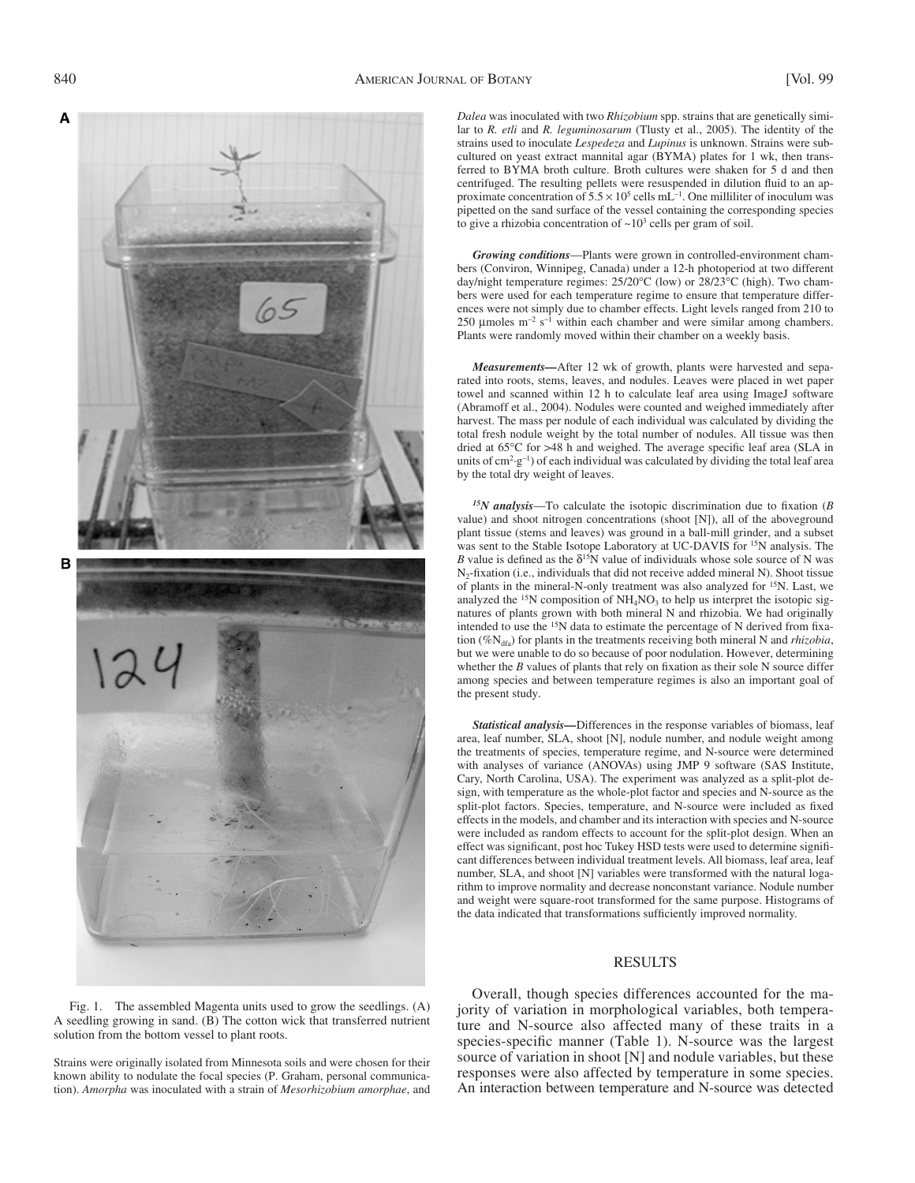

 Fig. 1. The assembled Magenta units used to grow the seedlings. (A) A seedling growing in sand. (B) The cotton wick that transferred nutrient solution from the bottom vessel to plant roots.

Strains were originally isolated from Minnesota soils and were chosen for their known ability to nodulate the focal species (P. Graham, personal communication). *Amorpha* was inoculated with a strain of *Mesorhizobium amorphae* , and

*Dalea* was inoculated with two *Rhizobium* spp. strains that are genetically similar to *R. etli* and *R. leguminosarum* (Tlusty et al., 2005). The identity of the strains used to inoculate *Lespedeza* and *Lupinus* is unknown. Strains were subcultured on yeast extract mannital agar (BYMA) plates for 1 wk, then transferred to BYMA broth culture. Broth cultures were shaken for 5 d and then centrifuged. The resulting pellets were resuspended in dilution fluid to an approximate concentration of  $5.5 \times 10^5$  cells mL<sup>-1</sup>. One milliliter of inoculum was pipetted on the sand surface of the vessel containing the corresponding species to give a rhizobia concentration of  $\sim 10^3$  cells per gram of soil.

*Growing conditions*— Plants were grown in controlled-environment chambers (Conviron, Winnipeg, Canada) under a 12-h photoperiod at two different day/night temperature regimes: 25/20°C (low) or 28/23°C (high). Two chambers were used for each temperature regime to ensure that temperature differences were not simply due to chamber effects. Light levels ranged from 210 to 250 µ moles  $m^{-2}$  s<sup>-1</sup> within each chamber and were similar among chambers. Plants were randomly moved within their chamber on a weekly basis.

*Measurements —* After 12 wk of growth, plants were harvested and separated into roots, stems, leaves, and nodules. Leaves were placed in wet paper towel and scanned within 12 h to calculate leaf area using ImageJ software (Abramoff et al., 2004). Nodules were counted and weighed immediately after harvest. The mass per nodule of each individual was calculated by dividing the total fresh nodule weight by the total number of nodules. All tissue was then dried at  $65^{\circ}$ C for >48 h and weighed. The average specific leaf area (SLA in units of  $cm<sup>2</sup>·g<sup>-1</sup>$ ) of each individual was calculated by dividing the total leaf area by the total dry weight of leaves.

 $15N$  *analysis*—To calculate the isotopic discrimination due to fixation ( $B$ ) value) and shoot nitrogen concentrations (shoot [N]), all of the aboveground plant tissue (stems and leaves) was ground in a ball-mill grinder, and a subset was sent to the Stable Isotope Laboratory at UC-DAVIS for <sup>15</sup>N analysis. The *B* value is defined as the  $\delta^{15}N$  value of individuals whose sole source of N was N<sub>2</sub>-fixation (i.e., individuals that did not receive added mineral N). Shoot tissue of plants in the mineral-N-only treatment was also analyzed for <sup>15</sup>N. Last, we analyzed the  $15N$  composition of  $NH<sub>4</sub>NO<sub>3</sub>$  to help us interpret the isotopic signatures of plants grown with both mineral N and rhizobia. We had originally intended to use the  $15N$  data to estimate the percentage of N derived from fixation (%N<sub>dfa</sub>) for plants in the treatments receiving both mineral N and *rhizobia*, but we were unable to do so because of poor nodulation. However, determining whether the  $B$  values of plants that rely on fixation as their sole  $N$  source differ among species and between temperature regimes is also an important goal of the present study.

*Statistical analysis —* Differences in the response variables of biomass, leaf area, leaf number, SLA, shoot [N], nodule number, and nodule weight among the treatments of species, temperature regime, and N-source were determined with analyses of variance (ANOVAs) using JMP 9 software (SAS Institute, Cary, North Carolina, USA). The experiment was analyzed as a split-plot design, with temperature as the whole-plot factor and species and N-source as the split-plot factors. Species, temperature, and N-source were included as fixed effects in the models, and chamber and its interaction with species and N-source were included as random effects to account for the split-plot design. When an effect was significant, post hoc Tukey HSD tests were used to determine significant differences between individual treatment levels. All biomass, leaf area, leaf number, SLA, and shoot [N] variables were transformed with the natural logarithm to improve normality and decrease nonconstant variance. Nodule number and weight were square-root transformed for the same purpose. Histograms of the data indicated that transformations sufficiently improved normality.

### RESULTS

 Overall, though species differences accounted for the majority of variation in morphological variables, both temperature and N-source also affected many of these traits in a species-specific manner (Table 1). N-source was the largest source of variation in shoot [N] and nodule variables, but these responses were also affected by temperature in some species. An interaction between temperature and N-source was detected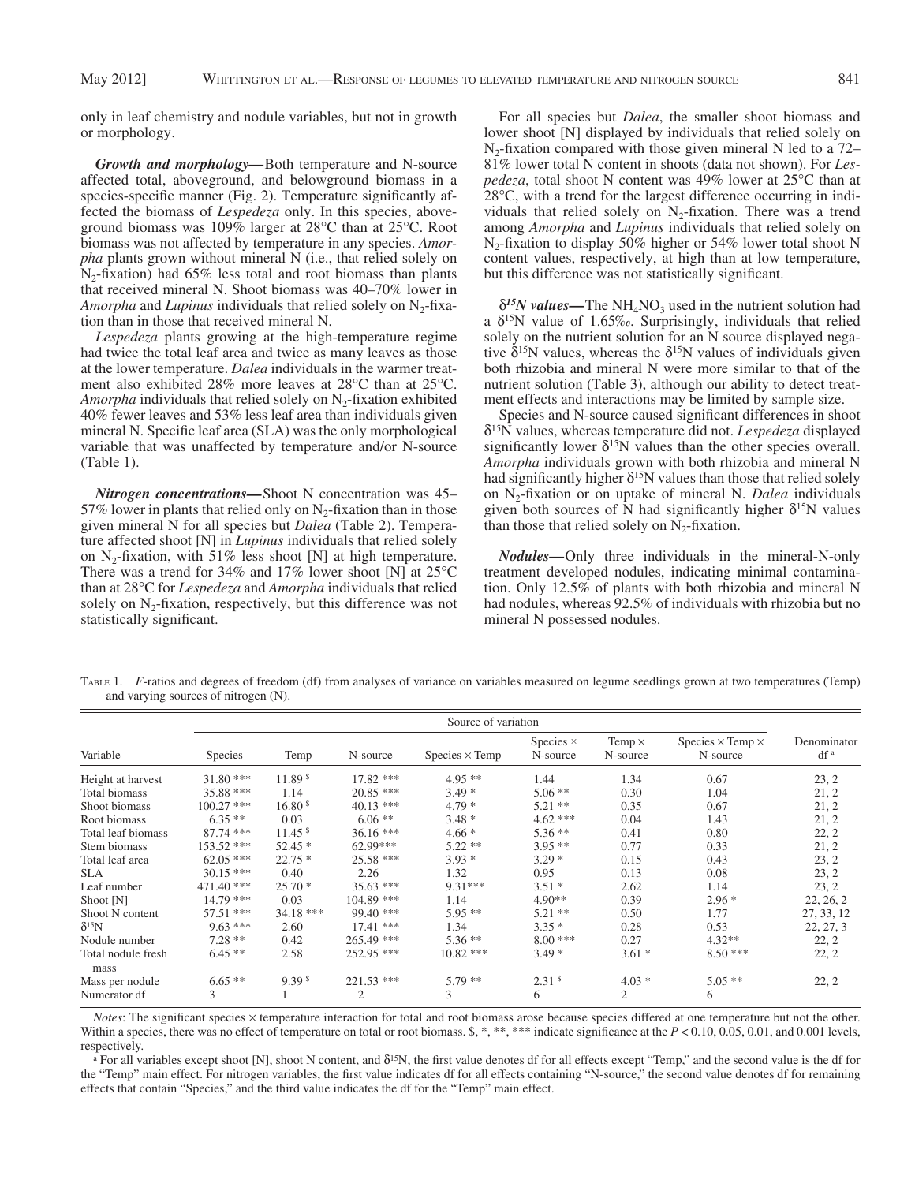only in leaf chemistry and nodule variables, but not in growth or morphology.

*Growth and morphology —* Both temperature and N-source affected total, aboveground, and belowground biomass in a species-specific manner (Fig. 2). Temperature significantly affected the biomass of *Lespedeza* only. In this species, aboveground biomass was 109% larger at  $28^{\circ}$ C than at  $25^{\circ}$ C. Root biomass was not affected by temperature in any species. *Amorpha* plants grown without mineral N (i.e., that relied solely on  $N_2$ -fixation) had 65% less total and root biomass than plants that received mineral N. Shoot biomass was 40–70% lower in *Amorpha* and *Lupinus* individuals that relied solely on N<sub>2</sub>-fixation than in those that received mineral N.

*Lespedeza* plants growing at the high-temperature regime had twice the total leaf area and twice as many leaves as those at the lower temperature. *Dalea* individuals in the warmer treatment also exhibited 28% more leaves at 28 $\degree$ C than at 25 $\degree$ C. *Amorpha* individuals that relied solely on N<sub>2</sub>-fixation exhibited 40% fewer leaves and 53% less leaf area than individuals given mineral N. Specific leaf area (SLA) was the only morphological variable that was unaffected by temperature and/or N-source  $(Table 1)$ .

*Nitrogen concentrations*—Shoot N concentration was 45-57% lower in plants that relied only on  $N_2$ -fixation than in those given mineral N for all species but *Dalea* (Table 2). Temperature affected shoot [N] in *Lupinus* individuals that relied solely on N<sub>2</sub>-fixation, with 51% less shoot [N] at high temperature. There was a trend for 34% and 17% lower shoot [N] at  $25^{\circ}$ C than at 28 ° C for *Lespedeza* and *Amorpha* individuals that relied solely on  $N_2$ -fixation, respectively, but this difference was not statistically significant.

For all species but *Dalea*, the smaller shoot biomass and lower shoot [N] displayed by individuals that relied solely on  $N_2$ -fixation compared with those given mineral N led to a 72– 81% lower total N content in shoots (data not shown). For *Lespedeza*, total shoot N content was 49% lower at 25°C than at  $28^{\circ}$ C, with a trend for the largest difference occurring in individuals that relied solely on  $N_2$ -fixation. There was a trend among *Amorpha* and *Lupinus* individuals that relied solely on  $N_2$ -fixation to display 50% higher or 54% lower total shoot N content values, respectively, at high than at low temperature, but this difference was not statistically significant.

 $\delta^{15}N$  values—The NH<sub>4</sub>NO<sub>3</sub> used in the nutrient solution had a  $\delta^{15}$ N value of 1.65%. Surprisingly, individuals that relied solely on the nutrient solution for an N source displayed negative  $\delta^{15}$ N values, whereas the  $\delta^{15}$ N values of individuals given both rhizobia and mineral N were more similar to that of the nutrient solution (Table 3), although our ability to detect treatment effects and interactions may be limited by sample size.

Species and N-source caused significant differences in shoot δ15 N values, whereas temperature did not. *Lespedeza* displayed significantly lower  $\delta^{15}N$  values than the other species overall. *Amorpha* individuals grown with both rhizobia and mineral N had significantly higher  $\delta^{15}N$  values than those that relied solely on N<sub>2</sub>-fixation or on uptake of mineral N. *Dalea* individuals given both sources of  $\tilde{N}$  had significantly higher  $\delta^{15}N$  values than those that relied solely on  $N_2$ -fixation.

*Nodules —* Only three individuals in the mineral-N-only treatment developed nodules, indicating minimal contamination. Only 12.5% of plants with both rhizobia and mineral N had nodules, whereas 92.5% of individuals with rhizobia but no mineral N possessed nodules.

TABLE 1. *F*-ratios and degrees of freedom (df) from analyses of variance on variables measured on legume seedlings grown at two temperatures (Temp) and varying sources of nitrogen (N).

| Variable                   | Source of variation |                    |                |                       |                              |                           |                                            |                                |
|----------------------------|---------------------|--------------------|----------------|-----------------------|------------------------------|---------------------------|--------------------------------------------|--------------------------------|
|                            | <b>Species</b>      | Temp               | N-source       | $Species \times Temp$ | Species $\times$<br>N-source | Temp $\times$<br>N-source | Species $\times$ Temp $\times$<br>N-source | Denominator<br>df <sup>a</sup> |
| Height at harvest          | $31.80***$          | 11.89 <sup>s</sup> | $17.82$ ***    | $4.95**$              | 1.44                         | 1.34                      | 0.67                                       | 23, 2                          |
| Total biomass              | 35.88 ***           | 1.14               | $20.85$ ***    | $3.49*$               | $5.06$ **                    | 0.30                      | 1.04                                       | 21, 2                          |
| Shoot biomass              | $100.27$ ***        | 16.80 <sup>s</sup> | $40.13***$     | $4.79*$               | $5.21$ **                    | 0.35                      | 0.67                                       | 21, 2                          |
| Root biomass               | $6.35**$            | 0.03               | $6.06**$       | $3.48*$               | $4.62***$                    | 0.04                      | 1.43                                       | 21, 2                          |
| Total leaf biomass         | $87.74$ ***         | 11.45 <sup>s</sup> | $36.16***$     | $4.66*$               | $5.36**$                     | 0.41                      | 0.80                                       | 22, 2                          |
| Stem biomass               | 153.52 ***          | $52.45*$           | 62.99***       | $5.22**$              | $3.95**$                     | 0.77                      | 0.33                                       | 21, 2                          |
| Total leaf area            | $62.05***$          | $22.75*$           | 25.58 ***      | $3.93*$               | $3.29*$                      | 0.15                      | 0.43                                       | 23, 2                          |
| <b>SLA</b>                 | $30.15$ ***         | 0.40               | 2.26           | 1.32                  | 0.95                         | 0.13                      | 0.08                                       | 23, 2                          |
| Leaf number                | 471.40 ***          | $25.70*$           | $35.63$ ***    | $9.31***$             | $3.51*$                      | 2.62                      | 1.14                                       | 23, 2                          |
| Shoot [N]                  | 14.79 ***           | 0.03               | 104.89 ***     | 1.14                  | $4.90**$                     | 0.39                      | $2.96*$                                    | 22, 26, 2                      |
| Shoot N content            | $57.51$ ***         | 34.18 ***          | $99.40$ ***    | $5.95**$              | $5.21**$                     | 0.50                      | 1.77                                       | 27, 33, 12                     |
| $\delta^{15}N$             | $9.63***$           | 2.60               | $17.41$ ***    | 1.34                  | $3.35*$                      | 0.28                      | 0.53                                       | 22, 27, 3                      |
| Nodule number              | $7.28**$            | 0.42               | 265.49 ***     | $5.36**$              | $8.00***$                    | 0.27                      | $4.32**$                                   | 22, 2                          |
| Total nodule fresh<br>mass | $6.45**$            | 2.58               | 252.95 ***     | $10.82$ ***           | $3.49*$                      | $3.61*$                   | $8.50***$                                  | 22, 2                          |
| Mass per nodule            | $6.65**$            | 9.39 <sup>s</sup>  | $221.53$ ***   | $5.79**$              | 2.31 <sup>s</sup>            | $4.03*$                   | $5.05**$                                   | 22, 2                          |
| Numerator df               | 3                   |                    | $\overline{c}$ | 3                     | 6                            | $\overline{2}$            | 6                                          |                                |

*Notes*: The significant species  $\times$  temperature interaction for total and root biomass arose because species differed at one temperature but not the other. Within a species, there was no effect of temperature on total or root biomass.  $\$, *, **, **$  indicate significance at the  $P < 0.10, 0.05, 0.01$ , and 0.001 levels, respectively.

<sup>a</sup> For all variables except shoot [N], shoot N content, and  $\delta^{15}N$ , the first value denotes df for all effects except "Temp," and the second value is the df for the "Temp" main effect. For nitrogen variables, the first value indicates df for all effects containing "N-source," the second value denotes df for remaining effects that contain "Species," and the third value indicates the df for the "Temp" main effect.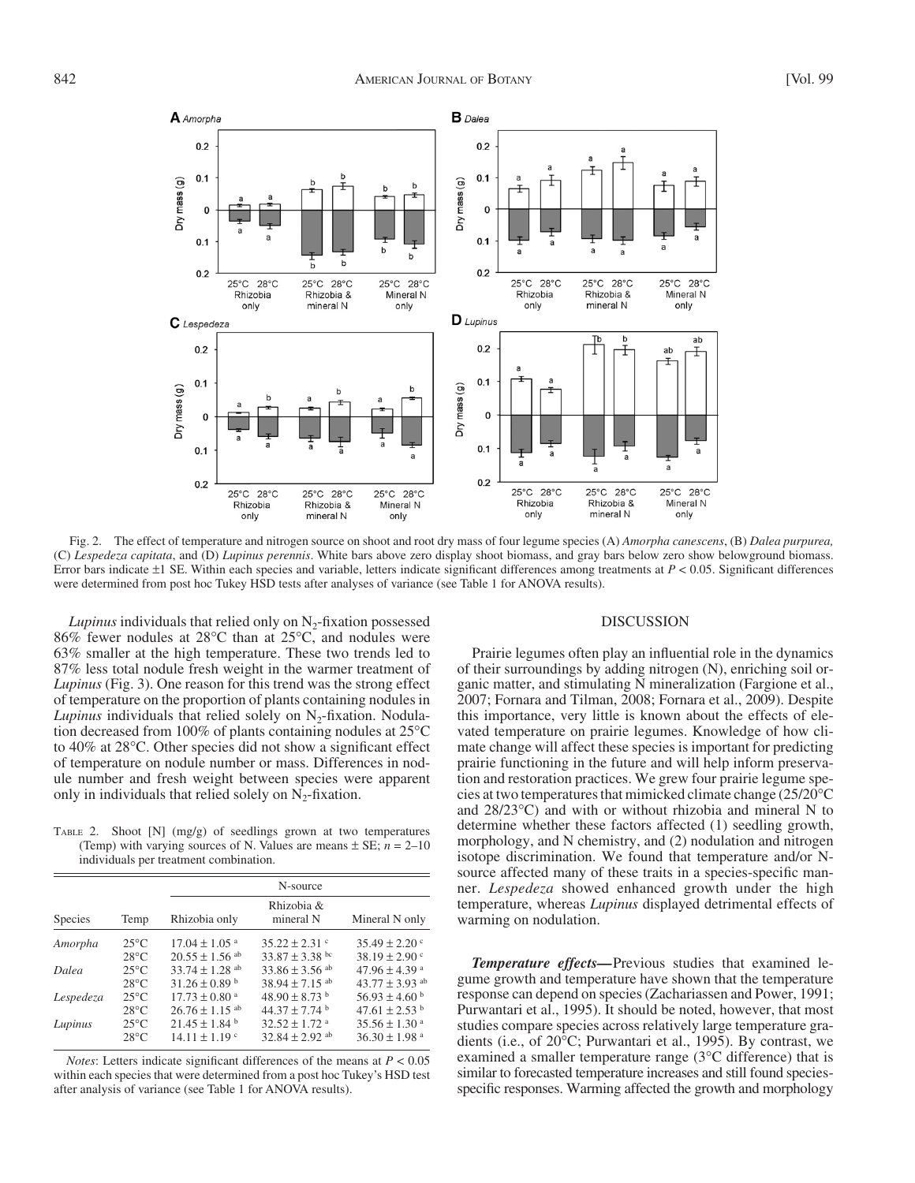

 Fig. 2. The effect of temperature and nitrogen source on shoot and root dry mass of four legume species (A) *Amorpha canescens* , (B) *Dalea purpurea,* (C) *Lespedeza capitata* , and (D) *Lupinus perennis* . White bars above zero display shoot biomass, and gray bars below zero show belowground biomass. Error bars indicate  $\pm 1$  SE. Within each species and variable, letters indicate significant differences among treatments at  $P < 0.05$ . Significant differences were determined from post hoc Tukey HSD tests after analyses of variance (see Table 1 for ANOVA results).

*Lupinus* individuals that relied only on  $N<sub>2</sub>$ -fixation possessed 86% fewer nodules at 28 $\degree$ C than at 25 $\degree$ C, and nodules were 63% smaller at the high temperature. These two trends led to 87% less total nodule fresh weight in the warmer treatment of *Lupinus* (Fig. 3). One reason for this trend was the strong effect of temperature on the proportion of plants containing nodules in *Lupinus* individuals that relied solely on  $N_2$ -fixation. Nodulation decreased from 100% of plants containing nodules at  $25^{\circ}$ C to 40% at 28°C. Other species did not show a significant effect of temperature on nodule number or mass. Differences in nodule number and fresh weight between species were apparent only in individuals that relied solely on  $N_2$ -fixation.

 TABLE 2. Shoot [N] (mg/g) of seedlings grown at two temperatures (Temp) with varying sources of N. Values are means  $\pm$  SE;  $n = 2$ –10 individuals per treatment combination.

|           |                | N-source                       |                               |                               |  |  |
|-----------|----------------|--------------------------------|-------------------------------|-------------------------------|--|--|
| Species   | Temp           | Rhizobia only                  | Rhizobia &<br>mineral N       | Mineral N only                |  |  |
| Amorpha   | $25^{\circ}$ C | $17.04 \pm 1.05$ <sup>a</sup>  | $35.22 \pm 2.31$ c            | $35.49 \pm 2.20$ c            |  |  |
|           | $28^{\circ}$ C | $20.55 \pm 1.56$ <sup>ab</sup> | $33.87 \pm 3.38$ bc           | $38.19 \pm 2.90$ c            |  |  |
| Dalea     | $25^{\circ}$ C | 33.74 $\pm$ 1.28 ab            | 33.86 $\pm$ 3.56 ab           | $47.96 \pm 4.39$ <sup>a</sup> |  |  |
| Lespedeza | $28^{\circ}$ C | $31.26 \pm 0.89$ b             | 38.94 $\pm$ 7.15 ab           | $43.77 \pm 3.93$ ab           |  |  |
|           | $25^{\circ}$ C | $17.73 \pm 0.80$ <sup>a</sup>  | $48.90 \pm 8.73$ b            | $56.93 \pm 4.60$ b            |  |  |
| Lupinus   | $28^{\circ}$ C | $26.76 \pm 1.15$ ab            | $44.37 \pm 7.74$ b            | $47.61 \pm 2.53$ b            |  |  |
|           | $25^{\circ}$ C | $21.45 \pm 1.84$ <sup>b</sup>  | $32.52 \pm 1.72$ <sup>a</sup> | $35.56 \pm 1.30$ <sup>a</sup> |  |  |
|           | $28^{\circ}$ C | $14.11 \pm 1.19$ c             | $32.84 \pm 2.92$ ab           | $36.30 \pm 1.98$ <sup>a</sup> |  |  |

*Notes*: Letters indicate significant differences of the means at  $P < 0.05$ within each species that were determined from a post hoc Tukey's HSD test after analysis of variance (see Table 1 for ANOVA results).

#### DISCUSSION

Prairie legumes often play an influential role in the dynamics of their surroundings by adding nitrogen (N), enriching soil organic matter, and stimulating N mineralization (Fargione et al., 2007; Fornara and Tilman, 2008; Fornara et al., 2009). Despite this importance, very little is known about the effects of elevated temperature on prairie legumes. Knowledge of how climate change will affect these species is important for predicting prairie functioning in the future and will help inform preservation and restoration practices. We grew four prairie legume species at two temperatures that mimicked climate change (25/20 ° C and  $28/23^{\circ}$ C) and with or without rhizobia and mineral N to determine whether these factors affected (1) seedling growth, morphology, and N chemistry, and (2) nodulation and nitrogen isotope discrimination. We found that temperature and/or Nsource affected many of these traits in a species-specific manner. *Lespedeza* showed enhanced growth under the high temperature, whereas *Lupinus* displayed detrimental effects of warming on nodulation.

*Temperature effects —* Previous studies that examined legume growth and temperature have shown that the temperature response can depend on species (Zachariassen and Power, 1991; Purwantari et al., 1995). It should be noted, however, that most studies compare species across relatively large temperature gradients (i.e., of 20°C; Purwantari et al., 1995). By contrast, we examined a smaller temperature range ( $3^{\circ}$ C difference) that is similar to forecasted temperature increases and still found speciesspecific responses. Warming affected the growth and morphology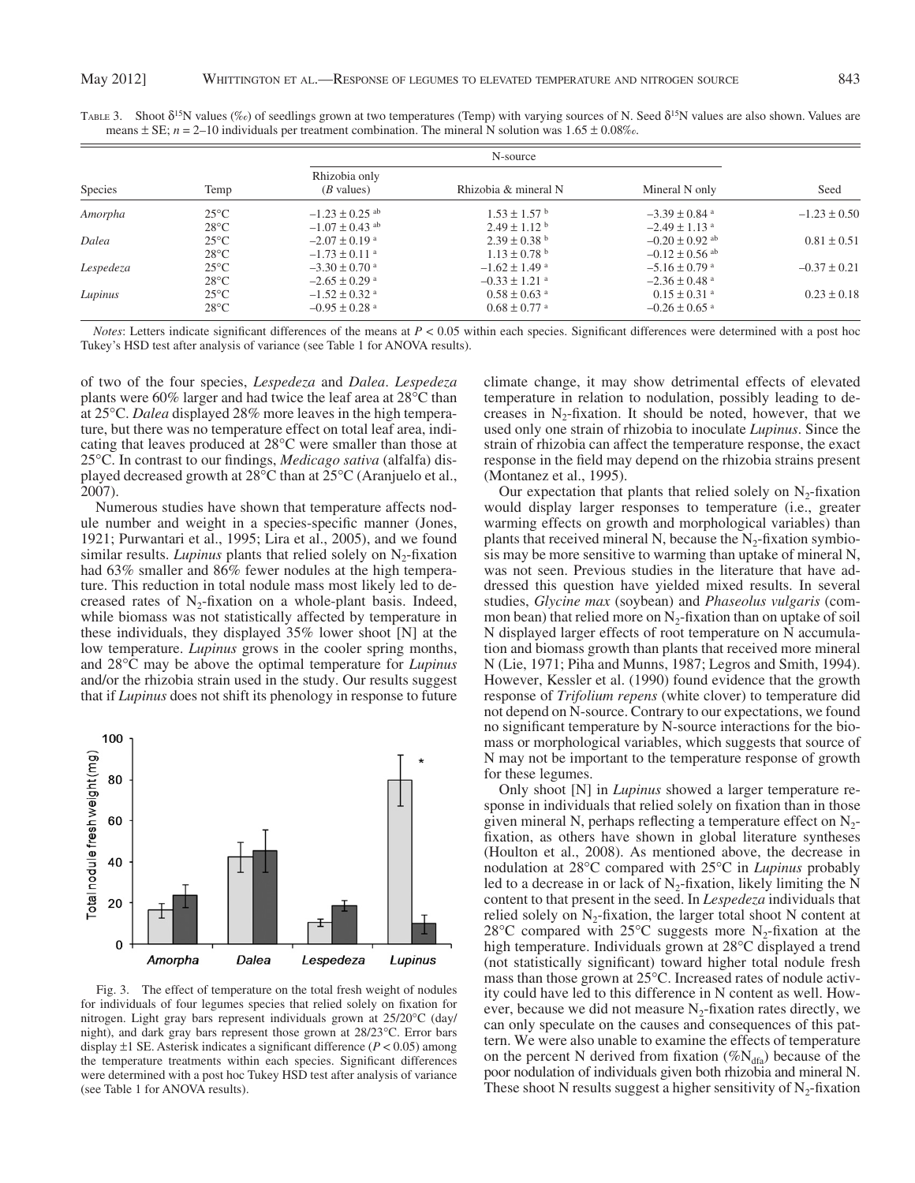| <b>Species</b> |                |                                       |                               |                               |                  |
|----------------|----------------|---------------------------------------|-------------------------------|-------------------------------|------------------|
|                | Temp           | Rhizobia only<br>$(B \text{ values})$ | Rhizobia & mineral N          | Mineral N only                | Seed             |
| Amorpha        | $25^{\circ}$ C | $-1.23 \pm 0.25$ <sup>ab</sup>        | $1.53 \pm 1.57$ <sup>b</sup>  | $-3.39 \pm 0.84$ <sup>a</sup> | $-1.23 \pm 0.50$ |
|                | $28^{\circ}$ C | $-1.07 \pm 0.43$ ab                   | $2.49 \pm 1.12$ <sup>b</sup>  | $-2.49 \pm 1.13$ <sup>a</sup> |                  |
| Dalea          | $25^{\circ}$ C | $-2.07 \pm 0.19$ <sup>a</sup>         | $2.39 \pm 0.38$ b             | $-0.20 \pm 0.92$ ab           | $0.81 \pm 0.51$  |
|                | $28^{\circ}$ C | $-1.73 \pm 0.11$ <sup>a</sup>         | $1.13 \pm 0.78$ <sup>b</sup>  | $-0.12 \pm 0.56$ ab           |                  |
| Lespedeza      | $25^{\circ}$ C | $-3.30 \pm 0.70$ a                    | $-1.62 \pm 1.49$ <sup>a</sup> | $-5.16 \pm 0.79$ a            | $-0.37 \pm 0.21$ |
|                | $28^{\circ}$ C | $-2.65 \pm 0.29$ <sup>a</sup>         | $-0.33 \pm 1.21$ <sup>a</sup> | $-2.36 \pm 0.48$ <sup>a</sup> |                  |
| Lupinus        | $25^{\circ}$ C | $-1.52 \pm 0.32$ <sup>a</sup>         | $0.58 \pm 0.63$ <sup>a</sup>  | $0.15 \pm 0.31$ <sup>a</sup>  | $0.23 \pm 0.18$  |
|                | $28^{\circ}$ C | $-0.95 \pm 0.28$ <sup>a</sup>         | $0.68 \pm 0.77$ <sup>a</sup>  | $-0.26 \pm 0.65$ <sup>a</sup> |                  |

TABLE 3. Shoot  $\delta^{15}N$  values (%o) of seedlings grown at two temperatures (Temp) with varying sources of N. Seed  $\delta^{15}N$  values are also shown. Values are means  $\pm$  SE;  $n = 2$ –10 individuals per treatment combination. The mineral N solution was 1.65  $\pm$  0.08‰.

*Notes*: Letters indicate significant differences of the means at  $P < 0.05$  within each species. Significant differences were determined with a post hoc Tukey's HSD test after analysis of variance (see Table 1 for ANOVA results).

of two of the four species, *Lespedeza* and *Dalea* . *Lespedeza* plants were  $60\%$  larger and had twice the leaf area at  $28^{\circ}$ C than at 25<sup>o</sup>C. *Dalea* displayed 28% more leaves in the high temperature, but there was no temperature effect on total leaf area, indicating that leaves produced at  $28^{\circ}$ C were smaller than those at 25 °C. In contrast to our findings, *Medicago sativa* (alfalfa) displayed decreased growth at  $28^{\circ}$ C than at  $25^{\circ}$ C (Aranjuelo et al., 2007).

 Numerous studies have shown that temperature affects nodule number and weight in a species-specific manner (Jones, 1921; Purwantari et al., 1995; Lira et al., 2005), and we found similar results. *Lupinus* plants that relied solely on  $N_2$ -fixation had  $63\%$  smaller and  $86\%$  fewer nodules at the high temperature. This reduction in total nodule mass most likely led to decreased rates of  $N_2$ -fixation on a whole-plant basis. Indeed, while biomass was not statistically affected by temperature in these individuals, they displayed 35% lower shoot [N] at the low temperature. *Lupinus* grows in the cooler spring months, and 28<sup>o</sup>C may be above the optimal temperature for *Lupinus* and/or the rhizobia strain used in the study. Our results suggest that if *Lupinus* does not shift its phenology in response to future



 Fig. 3. The effect of temperature on the total fresh weight of nodules for individuals of four legumes species that relied solely on fixation for nitrogen. Light gray bars represent individuals grown at 25/20°C (day/ night), and dark gray bars represent those grown at 28/23°C. Error bars display  $\pm 1$  SE. Asterisk indicates a significant difference ( $P < 0.05$ ) among the temperature treatments within each species. Significant differences were determined with a post hoc Tukey HSD test after analysis of variance (see Table 1 for ANOVA results).

climate change, it may show detrimental effects of elevated temperature in relation to nodulation, possibly leading to decreases in  $N_2$ -fixation. It should be noted, however, that we used only one strain of rhizobia to inoculate *Lupinus* . Since the strain of rhizobia can affect the temperature response, the exact response in the field may depend on the rhizobia strains present (Montanez et al., 1995).

Our expectation that plants that relied solely on  $N_2$ -fixation would display larger responses to temperature (i.e., greater warming effects on growth and morphological variables) than plants that received mineral N, because the  $N_2$ -fixation symbiosis may be more sensitive to warming than uptake of mineral N, was not seen. Previous studies in the literature that have addressed this question have yielded mixed results. In several studies, *Glycine max* (soybean) and *Phaseolus vulgaris* (common bean) that relied more on  $N<sub>2</sub>$ -fixation than on uptake of soil N displayed larger effects of root temperature on N accumulation and biomass growth than plants that received more mineral N (Lie, 1971; Piha and Munns, 1987; Legros and Smith, 1994). However, Kessler et al. (1990) found evidence that the growth response of *Trifolium repens* (white clover) to temperature did not depend on N-source. Contrary to our expectations, we found no significant temperature by N-source interactions for the biomass or morphological variables, which suggests that source of N may not be important to the temperature response of growth for these legumes.

 Only shoot [N] in *Lupinus* showed a larger temperature response in individuals that relied solely on fixation than in those given mineral N, perhaps reflecting a temperature effect on  $N_2$ fixation, as others have shown in global literature syntheses (Houlton et al., 2008). As mentioned above, the decrease in nodulation at 28°C compared with 25°C in *Lupinus* probably led to a decrease in or lack of  $N_2$ -fixation, likely limiting the N content to that present in the seed. In *Lespedeza* individuals that relied solely on  $N_2$ -fixation, the larger total shoot N content at 28 °C compared with 25 °C suggests more N<sub>2</sub>-fixation at the high temperature. Individuals grown at 28°C displayed a trend (not statistically significant) toward higher total nodule fresh mass than those grown at 25°C. Increased rates of nodule activity could have led to this difference in N content as well. However, because we did not measure  $N_2$ -fixation rates directly, we can only speculate on the causes and consequences of this pattern. We were also unable to examine the effects of temperature on the percent N derived from fixation ( $\%N_{dfa}$ ) because of the poor nodulation of individuals given both rhizobia and mineral N. These shoot N results suggest a higher sensitivity of  $N_2$ -fixation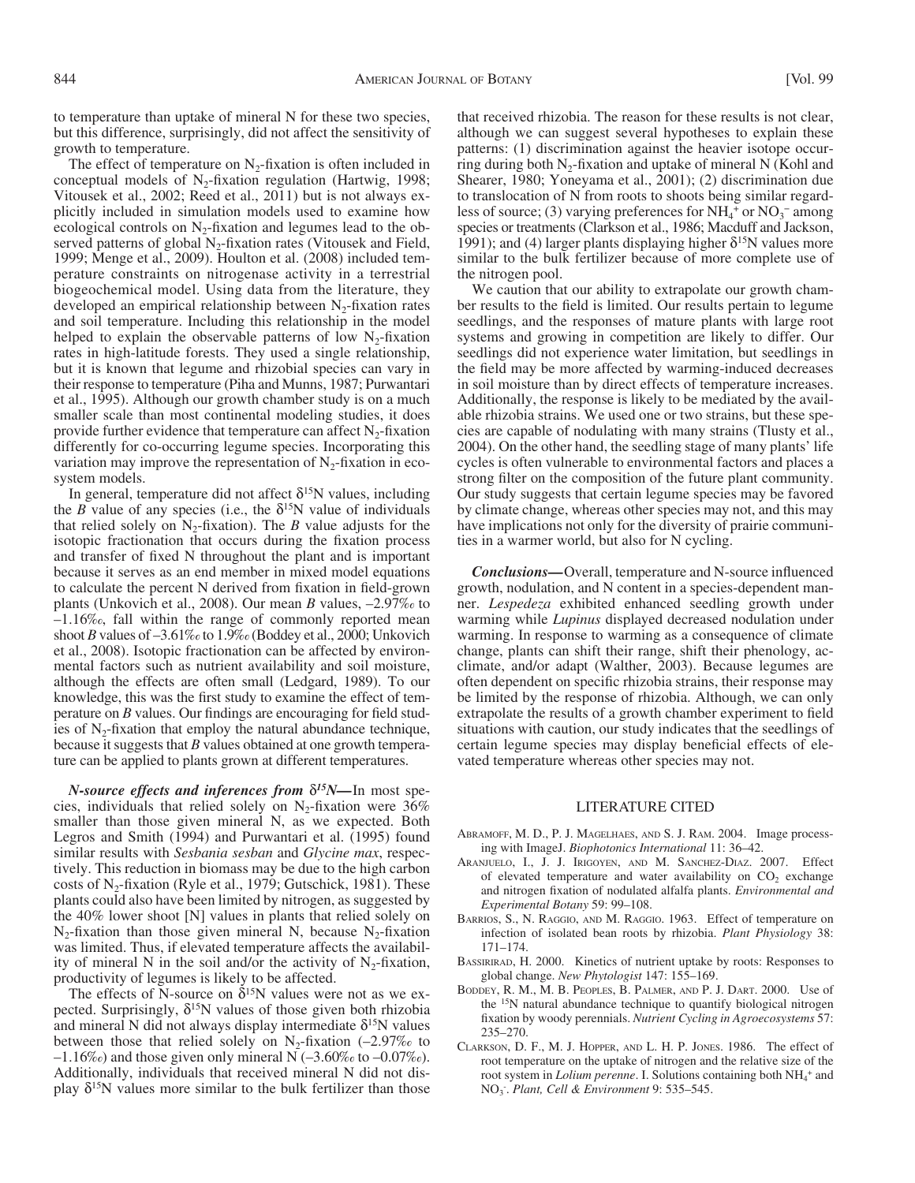to temperature than uptake of mineral N for these two species, but this difference, surprisingly, did not affect the sensitivity of growth to temperature.

The effect of temperature on  $N_2$ -fixation is often included in conceptual models of  $N_2$ -fixation regulation (Hartwig, 1998; Vitousek et al., 2002; Reed et al., 2011) but is not always explicitly included in simulation models used to examine how ecological controls on  $N_2$ -fixation and legumes lead to the observed patterns of global  $N_2$ -fixation rates (Vitousek and Field, 1999; Menge et al., 2009). Houlton et al. (2008) included temperature constraints on nitrogenase activity in a terrestrial biogeochemical model. Using data from the literature, they developed an empirical relationship between  $N<sub>2</sub>$ -fixation rates and soil temperature. Including this relationship in the model helped to explain the observable patterns of low  $N_2$ -fixation rates in high-latitude forests. They used a single relationship, but it is known that legume and rhizobial species can vary in their response to temperature (Piha and Munns, 1987; Purwantari et al., 1995). Although our growth chamber study is on a much smaller scale than most continental modeling studies, it does provide further evidence that temperature can affect  $N_2$ -fixation differently for co-occurring legume species. Incorporating this variation may improve the representation of  $N<sub>2</sub>$ -fixation in ecosystem models.

In general, temperature did not affect  $\delta^{15}$ N values, including the *B* value of any species (i.e., the  $\delta^{15}N$  value of individuals that relied solely on  $N_2$ -fixation). The *B* value adjusts for the isotopic fractionation that occurs during the fixation process and transfer of fixed N throughout the plant and is important because it serves as an end member in mixed model equations to calculate the percent N derived from fixation in field-grown plants (Unkovich et al., 2008). Our mean *B* values,  $-2.97\%$  to  $-1.16\%$ , fall within the range of commonly reported mean shoot *B* values of  $-3.61\%$  to  $1.9\%$  (Boddey et al., 2000; Unkovich et al., 2008). Isotopic fractionation can be affected by environmental factors such as nutrient availability and soil moisture, although the effects are often small (Ledgard, 1989). To our knowledge, this was the first study to examine the effect of temperature on  $B$  values. Our findings are encouraging for field studies of  $N_2$ -fixation that employ the natural abundance technique, because it suggests that *B* values obtained at one growth temperature can be applied to plants grown at different temperatures.

*N*-source effects and inferences from δ<sup>15</sup>N-In most species, individuals that relied solely on  $N_2$ -fixation were 36% smaller than those given mineral N, as we expected. Both Legros and Smith (1994) and Purwantari et al. (1995) found similar results with *Sesbania sesban* and *Glycine max*, respectively. This reduction in biomass may be due to the high carbon costs of  $N_2$ -fixation (Ryle et al., 1979; Gutschick, 1981). These plants could also have been limited by nitrogen, as suggested by the 40% lower shoot [N] values in plants that relied solely on  $N_2$ -fixation than those given mineral N, because  $N_2$ -fixation was limited. Thus, if elevated temperature affects the availability of mineral N in the soil and/or the activity of  $N_2$ -fixation, productivity of legumes is likely to be affected.

The effects of N-source on  $\delta^{15}$ N values were not as we expected. Surprisingly,  $\delta^{15}N$  values of those given both rhizobia and mineral N did not always display intermediate  $\delta^{15}N$  values between those that relied solely on  $N_2$ -fixation (-2.97% to  $-1.16\%$ ) and those given only mineral N ( $-3.60\%$  to  $-0.07\%$ ). Additionally, individuals that received mineral N did not display  $\delta^{15}$ N values more similar to the bulk fertilizer than those

that received rhizobia. The reason for these results is not clear, although we can suggest several hypotheses to explain these patterns: (1) discrimination against the heavier isotope occurring during both  $N_2$ -fixation and uptake of mineral N (Kohl and Shearer, 1980; Yoneyama et al., 2001); (2) discrimination due to translocation of N from roots to shoots being similar regardless of source; (3) varying preferences for  $NH_4$ <sup>+</sup> or  $NO_3^-$  among species or treatments (Clarkson et al., 1986; Macduff and Jackson, 1991); and (4) larger plants displaying higher  $\delta^{15}N$  values more similar to the bulk fertilizer because of more complete use of the nitrogen pool.

We caution that our ability to extrapolate our growth chamber results to the field is limited. Our results pertain to legume seedlings, and the responses of mature plants with large root systems and growing in competition are likely to differ. Our seedlings did not experience water limitation, but seedlings in the field may be more affected by warming-induced decreases in soil moisture than by direct effects of temperature increases. Additionally, the response is likely to be mediated by the available rhizobia strains. We used one or two strains, but these species are capable of nodulating with many strains (Tlusty et al., 2004). On the other hand, the seedling stage of many plants' life cycles is often vulnerable to environmental factors and places a strong filter on the composition of the future plant community. Our study suggests that certain legume species may be favored by climate change, whereas other species may not, and this may have implications not only for the diversity of prairie communities in a warmer world, but also for N cycling.

*Conclusions*—Overall, temperature and N-source influenced growth, nodulation, and N content in a species-dependent manner. *Lespedeza* exhibited enhanced seedling growth under warming while *Lupinus* displayed decreased nodulation under warming. In response to warming as a consequence of climate change, plants can shift their range, shift their phenology, acclimate, and/or adapt (Walther, 2003). Because legumes are often dependent on specific rhizobia strains, their response may be limited by the response of rhizobia. Although, we can only extrapolate the results of a growth chamber experiment to field situations with caution, our study indicates that the seedlings of certain legume species may display beneficial effects of elevated temperature whereas other species may not.

## LITERATURE CITED

- ABRAMOFF, M. D., P. J. MAGELHAES, AND S. J. RAM. 2004. Image processing with ImageJ. *Biophotonics International* 11: 36-42.
- ARANJUELO, I., J. J. IRIGOYEN, AND M. SANCHEZ-DIAZ. 2007. Effect of elevated temperature and water availability on  $CO<sub>2</sub>$  exchange and nitrogen fixation of nodulated alfalfa plants. *Environmental and Experimental Botany* 59: 99-108.
- BARRIOS, S., N. RAGGIO, AND M. RAGGIO. 1963. Effect of temperature on infection of isolated bean roots by rhizobia. *Plant Physiology* 38:  $171 - 174.$
- BASSIRIRAD, H. 2000. Kinetics of nutrient uptake by roots: Responses to global change. New Phytologist 147: 155-169.
- BODDEY, R. M., M. B. PEOPLES, B. PALMER, AND P. J. DART. 2000. Use of the <sup>15</sup>N natural abundance technique to quantify biological nitrogen fixation by woody perennials. *Nutrient Cycling in Agroecosystems* 57: 235-270.
- CLARKSON, D. F., M. J. HOPPER, AND L. H. P. JONES. 1986. The effect of root temperature on the uptake of nitrogen and the relative size of the root system in *Lolium perenne*. I. Solutions containing both NH<sub>4</sub><sup>+</sup> and NO<sub>3</sub>. Plant, Cell & Environment 9: 535-545.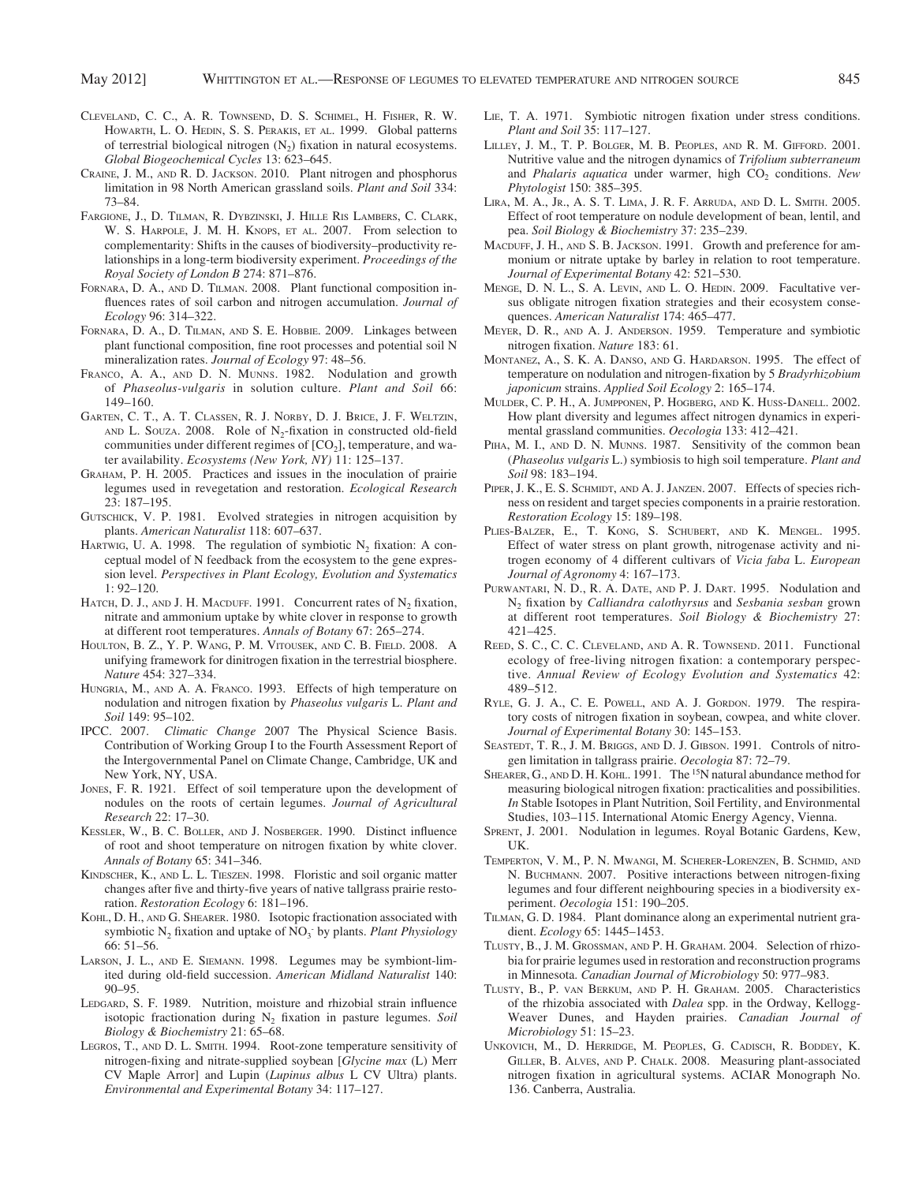- CLEVELAND, C. C., A. R. TOWNSEND, D. S. SCHIMEL, H. FISHER, R. W. HOWARTH, L. O. HEDIN, S. S. PERAKIS, ET AL. 1999. Global patterns of terrestrial biological nitrogen  $(N_2)$  fixation in natural ecosystems. Global Biogeochemical Cycles 13: 623-645.
- CRAINE, J. M., AND R. D. JACKSON. 2010. Plant nitrogen and phosphorus limitation in 98 North American grassland soils. *Plant and Soil* 334 :  $73 - 84$
- FARGIONE, J., D. TILMAN, R. DYBZINSKI, J. HILLE RIS LAMBERS, C. CLARK, W. S. HARPOLE, J. M. H. KNOPS, ET AL. 2007. From selection to complementarity: Shifts in the causes of biodiversity – productivity relationships in a long-term biodiversity experiment. *Proceedings of the Royal Society of London B* 274: 871 – 876.
- FORNARA, D. A., AND D. TILMAN. 2008. Plant functional composition influences rates of soil carbon and nitrogen accumulation. *Journal of Ecology* 96: 314–322.
- FORNARA, D. A., D. TILMAN, AND S. E. HOBBIE. 2009. Linkages between plant functional composition, fine root processes and potential soil N mineralization rates. *Journal of Ecology* 97: 48-56.
- FRANCO, A. A., AND D. N. MUNNS. 1982. Nodulation and growth of *Phaseolus-vulgaris* in solution culture. *Plant and Soil* 66 : 149 – 160.
- GARTEN, C. T., A. T. CLASSEN, R. J. NORBY, D. J. BRICE, J. F. WELTZIN, AND L. SOUZA. 2008. Role of  $N<sub>2</sub>$ -fixation in constructed old-field communities under different regimes of  $[CO<sub>2</sub>]$ , temperature, and water availability. *Ecosystems (New York, NY)* 11: 125-137.
- GRAHAM, P. H. 2005. Practices and issues in the inoculation of prairie legumes used in revegetation and restoration. *Ecological Research* 23: 187-195.
- GUTSCHICK, V. P. 1981. Evolved strategies in nitrogen acquisition by plants. *American Naturalist* 118: 607-637.
- HARTWIG, U. A. 1998. The regulation of symbiotic  $N_2$  fixation: A conceptual model of N feedback from the ecosystem to the gene expression level. *Perspectives in Plant Ecology, Evolution and Systematics*  $1: 92 - 120$ .
- HATCH, D. J., AND J. H. MACDUFF. 1991. Concurrent rates of  $N_2$  fixation, nitrate and ammonium uptake by white clover in response to growth at different root temperatures. Annals of Botany 67: 265-274.
- HOULTON, B. Z., Y. P. WANG, P. M. VITOUSEK, AND C. B. FIELD. 2008. A unifying framework for dinitrogen fixation in the terrestrial biosphere. *Nature* 454: 327-334.
- HUNGRIA, M., AND A. A. FRANCO. 1993. Effects of high temperature on nodulation and nitrogen fi xation by *Phaseolus vulgaris* L. *Plant and Soil* 149: 95-102.
- IPCC. 2007. *Climatic Change* 2007 The Physical Science Basis. Contribution of Working Group I to the Fourth Assessment Report of the Intergovernmental Panel on Climate Change, Cambridge, UK and New York, NY, USA.
- JONES, F. R. 1921. Effect of soil temperature upon the development of nodules on the roots of certain legumes. *Journal of Agricultural Research* 22: 17–30.
- KESSLER, W., B. C. BOLLER, AND J. NOSBERGER. 1990. Distinct influence of root and shoot temperature on nitrogen fixation by white clover. Annals of Botany 65: 341-346.
- KINDSCHER, K., AND L. L. TIESZEN. 1998. Floristic and soil organic matter changes after five and thirty-five years of native tallgrass prairie restoration. *Restoration Ecology* 6: 181-196.
- KOHL, D. H., AND G. SHEARER. 1980. Isotopic fractionation associated with symbiotic  $N_2$  fixation and uptake of  $NO_3$ <sup>-</sup> by plants. *Plant Physiology*  $66:51 - 56$ .
- LARSON, J. L., AND E. SIEMANN. 1998. Legumes may be symbiont-limited during old-field succession. American Midland Naturalist 140:  $90 - 95.$
- LEDGARD, S. F. 1989. Nutrition, moisture and rhizobial strain influence isotopic fractionation during  $N_2$  fixation in pasture legumes. *Soil* Biology & Biochemistry 21: 65-68.
- LEGROS, T., AND D. L. SMITH. 1994. Root-zone temperature sensitivity of nitrogen-fixing and nitrate-supplied soybean [*Glycine max* (L) Merr CV Maple Arror] and Lupin (*Lupinus albus* L CV Ultra) plants. Environmental and Experimental Botany 34: 117-127.
- LIE, T. A. 1971. Symbiotic nitrogen fixation under stress conditions. *Plant and Soil* 35: 117-127.
- LILLEY, J. M., T. P. BOLGER, M. B. PEOPLES, AND R. M. GIFFORD. 2001. Nutritive value and the nitrogen dynamics of *Trifolium subterraneum* and *Phalaris aquatica* under warmer, high CO<sub>2</sub> conditions. New Phytologist 150: 385-395.
- LIRA, M. A., JR., A. S. T. LIMA, J. R. F. ARRUDA, AND D. L. SMITH. 2005. Effect of root temperature on nodule development of bean, lentil, and pea. *Soil Biology & Biochemistry* 37: 235-239.
- MACDUFF, J. H., AND S. B. JACKSON. 1991. Growth and preference for ammonium or nitrate uptake by barley in relation to root temperature. Journal of Experimental Botany 42: 521-530.
- MENGE, D. N. L., S. A. LEVIN, AND L. O. HEDIN. 2009. Facultative versus obligate nitrogen fixation strategies and their ecosystem consequences. *American Naturalist* 174: 465-477.
- MEYER, D. R., AND A. J. ANDERSON. 1959. Temperature and symbiotic nitrogen fixation. *Nature* 183: 61.
- MONTANEZ, A., S. K. A. DANSO, AND G. HARDARSON. 1995. The effect of temperature on nodulation and nitrogen-fixation by 5 *Bradyrhizobium japonicum* strains. *Applied Soil Ecology* 2: 165-174.
- MULDER, C. P. H., A. JUMPPONEN, P. HOGBERG, AND K. HUSS-DANELL. 2002. How plant diversity and legumes affect nitrogen dynamics in experimental grassland communities. *Oecologia* 133: 412-421.
- PIHA, M. I., AND D. N. MUNNS. 1987. Sensitivity of the common bean ( *Phaseolus vulgaris* L.) symbiosis to high soil temperature. *Plant and Soil* 98: 183-194
- PIPER, J. K., E. S. SCHMIDT, AND A. J. JANZEN. 2007. Effects of species richness on resident and target species components in a prairie restoration. *Restoration Ecology* 15: 189-198.
- PLIES-BALZER, E., T. KONG, S. SCHUBERT, AND K. MENGEL. 1995. Effect of water stress on plant growth, nitrogenase activity and nitrogen economy of 4 different cultivars of *Vicia faba* L. *European Journal of Agronomy* 4: 167-173.
- PURWANTARI, N. D., R. A. DATE, AND P. J. DART. 1995. Nodulation and N<sub>2</sub> fixation by *Calliandra calothyrsus* and *Sesbania sesban* grown at different root temperatures. *Soil Biology & Biochemistry* 27 : 421 – 425.
- REED, S. C., C. C. CLEVELAND, AND A. R. TOWNSEND. 2011. Functional ecology of free-living nitrogen fixation: a contemporary perspective. *Annual Review of Ecology Evolution and Systematics* 42 : 489 – 512.
- RYLE, G. J. A., C. E. POWELL, AND A. J. GORDON. 1979. The respiratory costs of nitrogen fixation in soybean, cowpea, and white clover. Journal of Experimental Botany 30: 145-153.
- SEASTEDT, T. R., J. M. BRIGGS, AND D. J. GIBSON. 1991. Controls of nitrogen limitation in tallgrass prairie. *Oecologia* 87: 72-79.
- SHEARER, G., AND D. H. KOHL. 1991. The <sup>15</sup>N natural abundance method for measuring biological nitrogen fixation: practicalities and possibilities. *In* Stable Isotopes in Plant Nutrition, Soil Fertility, and Environmental Studies, 103–115. International Atomic Energy Agency, Vienna.
- SPRENT, J. 2001. Nodulation in legumes. Royal Botanic Gardens, Kew, UK.
- TEMPERTON, V. M., P. N. MWANGI, M. SCHERER-LORENZEN, B. SCHMID, AND N. BUCHMANN. 2007. Positive interactions between nitrogen-fixing legumes and four different neighbouring species in a biodiversity experiment. *Oecologia* 151: 190-205.
- TILMAN, G. D. 1984. Plant dominance along an experimental nutrient gradient. *Ecology* 65: 1445–1453.
- TLUSTY, B., J. M. GROSSMAN, AND P. H. GRAHAM. 2004. Selection of rhizobia for prairie legumes used in restoration and reconstruction programs in Minnesota. *Canadian Journal of Microbiology* 50: 977–983.
- TLUSTY, B., P. VAN BERKUM, AND P. H. GRAHAM. 2005. Characteristics of the rhizobia associated with *Dalea* spp. in the Ordway, Kellogg-Weaver Dunes, and Hayden prairies. *Canadian Journal of Microbiology* 51: 15-23.
- UNKOVICH, M., D. HERRIDGE, M. PEOPLES, G. CADISCH, R. BODDEY, K. GILLER, B. ALVES, AND P. CHALK. 2008. Measuring plant-associated nitrogen fixation in agricultural systems. ACIAR Monograph No. 136. Canberra, Australia.